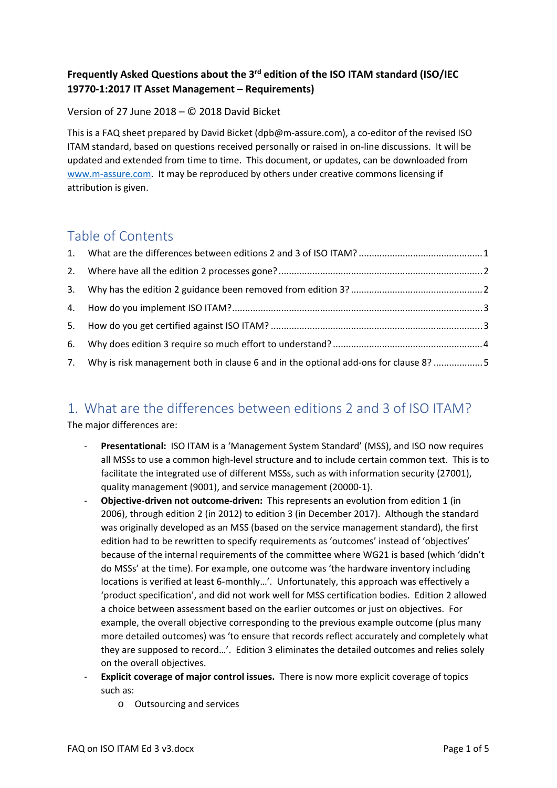#### **Frequently Asked Questions about the 3rd edition of the ISO ITAM standard (ISO/IEC 19770‐1:2017 IT Asset Management – Requirements)**

#### Version of 27 June 2018 – © 2018 David Bicket

This is a FAQ sheet prepared by David Bicket (dpb@m-assure.com), a co-editor of the revised ISO ITAM standard, based on questions received personally or raised in on‐line discussions. It will be updated and extended from time to time. This document, or updates, can be downloaded from www.m‐assure.com. It may be reproduced by others under creative commons licensing if attribution is given.

#### Table of Contents

| 7. Why is risk management both in clause 6 and in the optional add-ons for clause 8? 5 |  |
|----------------------------------------------------------------------------------------|--|

### 1. What are the differences between editions 2 and 3 of ISO ITAM?

The major differences are:

- ‐ **Presentational:** ISO ITAM is a 'Management System Standard' (MSS), and ISO now requires all MSSs to use a common high‐level structure and to include certain common text. This is to facilitate the integrated use of different MSSs, such as with information security (27001), quality management (9001), and service management (20000‐1).
- ‐ **Objective‐driven not outcome‐driven:** This represents an evolution from edition 1 (in 2006), through edition 2 (in 2012) to edition 3 (in December 2017). Although the standard was originally developed as an MSS (based on the service management standard), the first edition had to be rewritten to specify requirements as 'outcomes' instead of 'objectives' because of the internal requirements of the committee where WG21 is based (which 'didn't do MSSs' at the time). For example, one outcome was 'the hardware inventory including locations is verified at least 6‐monthly…'. Unfortunately, this approach was effectively a 'product specification', and did not work well for MSS certification bodies. Edition 2 allowed a choice between assessment based on the earlier outcomes or just on objectives. For example, the overall objective corresponding to the previous example outcome (plus many more detailed outcomes) was 'to ensure that records reflect accurately and completely what they are supposed to record…'. Edition 3 eliminates the detailed outcomes and relies solely on the overall objectives.
- ‐ **Explicit coverage of major control issues.** There is now more explicit coverage of topics such as:
	- o Outsourcing and services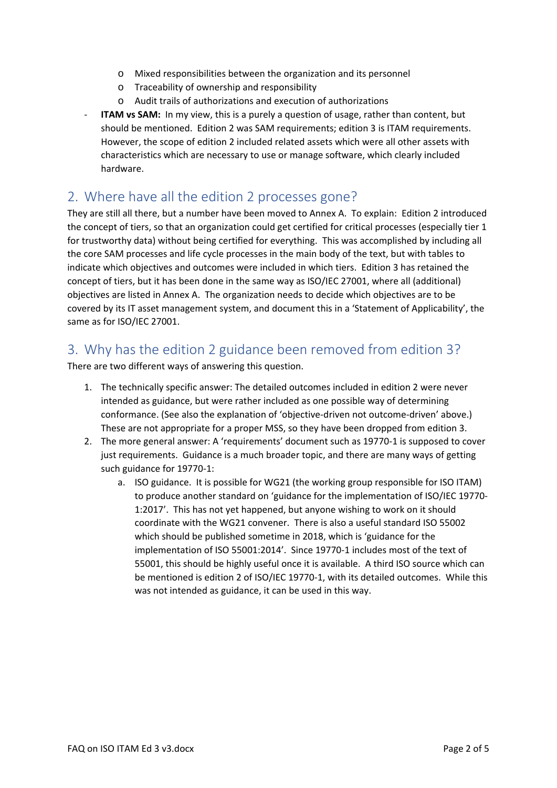- o Mixed responsibilities between the organization and its personnel
- o Traceability of ownership and responsibility
- o Audit trails of authorizations and execution of authorizations
- **ITAM vs SAM:** In my view, this is a purely a question of usage, rather than content, but should be mentioned. Edition 2 was SAM requirements; edition 3 is ITAM requirements. However, the scope of edition 2 included related assets which were all other assets with characteristics which are necessary to use or manage software, which clearly included hardware.

#### 2. Where have all the edition 2 processes gone?

They are still all there, but a number have been moved to Annex A. To explain: Edition 2 introduced the concept of tiers, so that an organization could get certified for critical processes (especially tier 1 for trustworthy data) without being certified for everything. This was accomplished by including all the core SAM processes and life cycle processes in the main body of the text, but with tables to indicate which objectives and outcomes were included in which tiers. Edition 3 has retained the concept of tiers, but it has been done in the same way as ISO/IEC 27001, where all (additional) objectives are listed in Annex A. The organization needs to decide which objectives are to be covered by its IT asset management system, and document this in a 'Statement of Applicability', the same as for ISO/IEC 27001.

#### 3. Why has the edition 2 guidance been removed from edition 3?

There are two different ways of answering this question.

- 1. The technically specific answer: The detailed outcomes included in edition 2 were never intended as guidance, but were rather included as one possible way of determining conformance. (See also the explanation of 'objective-driven not outcome-driven' above.) These are not appropriate for a proper MSS, so they have been dropped from edition 3.
- 2. The more general answer: A 'requirements' document such as 19770-1 is supposed to cover just requirements. Guidance is a much broader topic, and there are many ways of getting such guidance for 19770‐1:
	- a. ISO guidance. It is possible for WG21 (the working group responsible for ISO ITAM) to produce another standard on 'guidance for the implementation of ISO/IEC 19770‐ 1:2017'. This has not yet happened, but anyone wishing to work on it should coordinate with the WG21 convener. There is also a useful standard ISO 55002 which should be published sometime in 2018, which is 'guidance for the implementation of ISO 55001:2014'. Since 19770‐1 includes most of the text of 55001, this should be highly useful once it is available. A third ISO source which can be mentioned is edition 2 of ISO/IEC 19770-1, with its detailed outcomes. While this was not intended as guidance, it can be used in this way.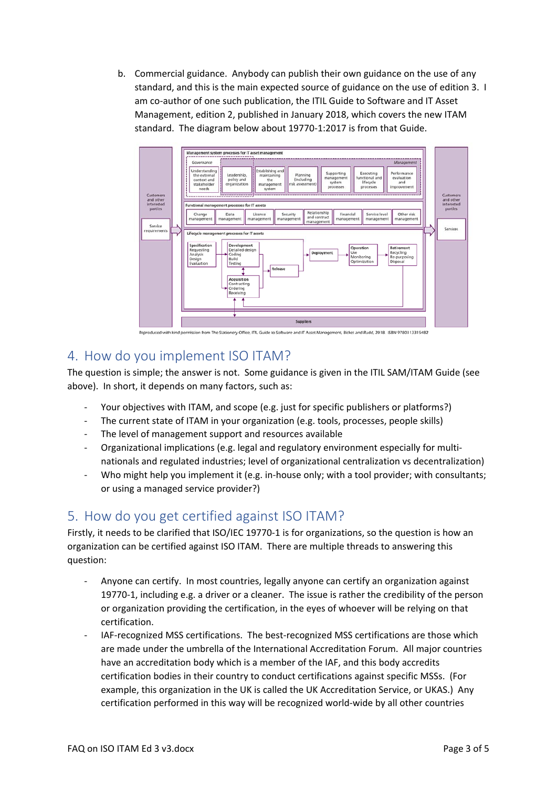b. Commercial guidance. Anybody can publish their own guidance on the use of any standard, and this is the main expected source of guidance on the use of edition 3. I am co-author of one such publication, the ITIL Guide to Software and IT Asset Management, edition 2, published in January 2018, which covers the new ITAM standard. The diagram below about 19770‐1:2017 is from that Guide.



### 4. How do you implement ISO ITAM?

The question is simple; the answer is not. Some guidance is given in the ITIL SAM/ITAM Guide (see above). In short, it depends on many factors, such as:

- ‐ Your objectives with ITAM, and scope (e.g. just for specific publishers or platforms?)
- The current state of ITAM in your organization (e.g. tools, processes, people skills)
- The level of management support and resources available
- ‐ Organizational implications (e.g. legal and regulatory environment especially for multi‐ nationals and regulated industries; level of organizational centralization vs decentralization)
- Who might help you implement it (e.g. in-house only; with a tool provider; with consultants; or using a managed service provider?)

## 5. How do you get certified against ISO ITAM?

Firstly, it needs to be clarified that ISO/IEC 19770‐1 is for organizations, so the question is how an organization can be certified against ISO ITAM. There are multiple threads to answering this question:

- ‐ Anyone can certify. In most countries, legally anyone can certify an organization against 19770-1, including e.g. a driver or a cleaner. The issue is rather the credibility of the person or organization providing the certification, in the eyes of whoever will be relying on that certification.
- ‐ IAF‐recognized MSS certifications. The best‐recognized MSS certifications are those which are made under the umbrella of the International Accreditation Forum. All major countries have an accreditation body which is a member of the IAF, and this body accredits certification bodies in their country to conduct certifications against specific MSSs. (For example, this organization in the UK is called the UK Accreditation Service, or UKAS.) Any certification performed in this way will be recognized world‐wide by all other countries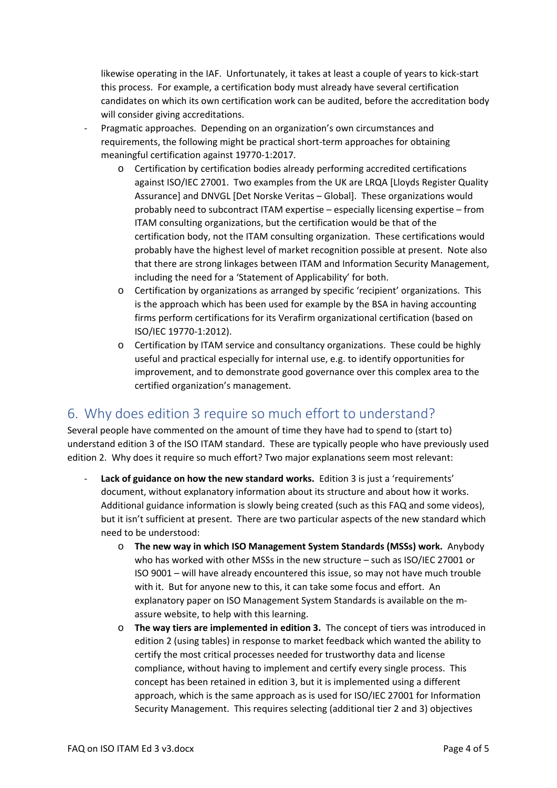likewise operating in the IAF. Unfortunately, it takes at least a couple of years to kick‐start this process. For example, a certification body must already have several certification candidates on which its own certification work can be audited, before the accreditation body will consider giving accreditations.

- ‐ Pragmatic approaches. Depending on an organization's own circumstances and requirements, the following might be practical short-term approaches for obtaining meaningful certification against 19770‐1:2017.
	- o Certification by certification bodies already performing accredited certifications against ISO/IEC 27001. Two examples from the UK are LRQA [Lloyds Register Quality Assurance] and DNVGL [Det Norske Veritas – Global]. These organizations would probably need to subcontract ITAM expertise – especially licensing expertise – from ITAM consulting organizations, but the certification would be that of the certification body, not the ITAM consulting organization. These certifications would probably have the highest level of market recognition possible at present. Note also that there are strong linkages between ITAM and Information Security Management, including the need for a 'Statement of Applicability' for both.
	- o Certification by organizations as arranged by specific 'recipient' organizations. This is the approach which has been used for example by the BSA in having accounting firms perform certifications for its Verafirm organizational certification (based on ISO/IEC 19770‐1:2012).
	- o Certification by ITAM service and consultancy organizations. These could be highly useful and practical especially for internal use, e.g. to identify opportunities for improvement, and to demonstrate good governance over this complex area to the certified organization's management.

### 6. Why does edition 3 require so much effort to understand?

Several people have commented on the amount of time they have had to spend to (start to) understand edition 3 of the ISO ITAM standard. These are typically people who have previously used edition 2. Why does it require so much effort? Two major explanations seem most relevant:

- ‐ **Lack of guidance on how the new standard works.** Edition 3 is just a 'requirements' document, without explanatory information about its structure and about how it works. Additional guidance information is slowly being created (such as this FAQ and some videos), but it isn't sufficient at present. There are two particular aspects of the new standard which need to be understood:
	- o **The new way in which ISO Management System Standards (MSSs) work.** Anybody who has worked with other MSSs in the new structure – such as ISO/IEC 27001 or ISO 9001 – will have already encountered this issue, so may not have much trouble with it. But for anyone new to this, it can take some focus and effort. An explanatory paper on ISO Management System Standards is available on the massure website, to help with this learning.
	- o **The way tiers are implemented in edition 3.**  The concept of tiers was introduced in edition 2 (using tables) in response to market feedback which wanted the ability to certify the most critical processes needed for trustworthy data and license compliance, without having to implement and certify every single process. This concept has been retained in edition 3, but it is implemented using a different approach, which is the same approach as is used for ISO/IEC 27001 for Information Security Management. This requires selecting (additional tier 2 and 3) objectives